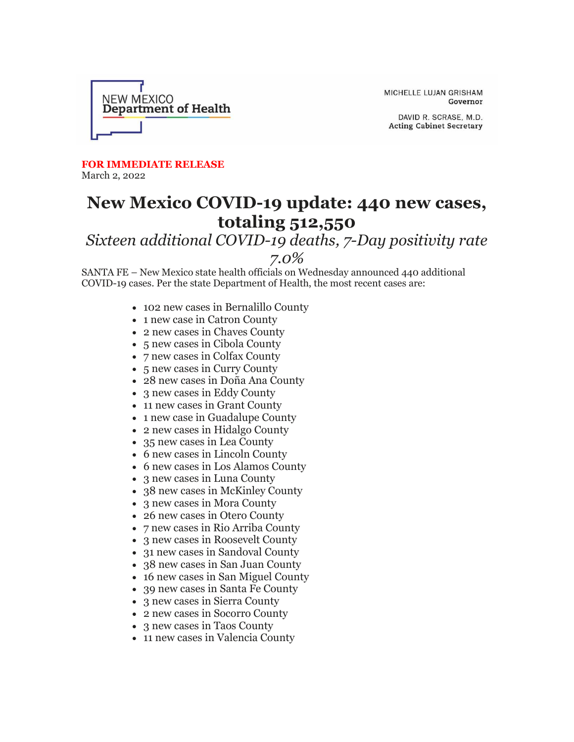

MICHELLE LUJAN GRISHAM Governor

DAVID R. SCRASE, M.D. **Acting Cabinet Secretary** 

**FOR IMMEDIATE RELEASE** March 2, 2022

## **New Mexico COVID-19 update: 440 new cases, totaling 512,550**

## *Sixteen additional COVID-19 deaths, 7-Day positivity rate 7.0%*

SANTA FE – New Mexico state health officials on Wednesday announced 440 additional COVID-19 cases. Per the state Department of Health, the most recent cases are:

- 102 new cases in Bernalillo County
- 1 new case in Catron County
- 2 new cases in Chaves County
- 5 new cases in Cibola County
- 7 new cases in Colfax County
- 5 new cases in Curry County
- 28 new cases in Doña Ana County
- 3 new cases in Eddy County
- 11 new cases in Grant County
- 1 new case in Guadalupe County
- 2 new cases in Hidalgo County
- 35 new cases in Lea County
- 6 new cases in Lincoln County
- 6 new cases in Los Alamos County
- 3 new cases in Luna County
- 38 new cases in McKinley County
- 3 new cases in Mora County
- 26 new cases in Otero County
- 7 new cases in Rio Arriba County
- 3 new cases in Roosevelt County
- 31 new cases in Sandoval County
- 38 new cases in San Juan County
- 16 new cases in San Miguel County
- 39 new cases in Santa Fe County
- 3 new cases in Sierra County
- 2 new cases in Socorro County
- 3 new cases in Taos County
- 11 new cases in Valencia County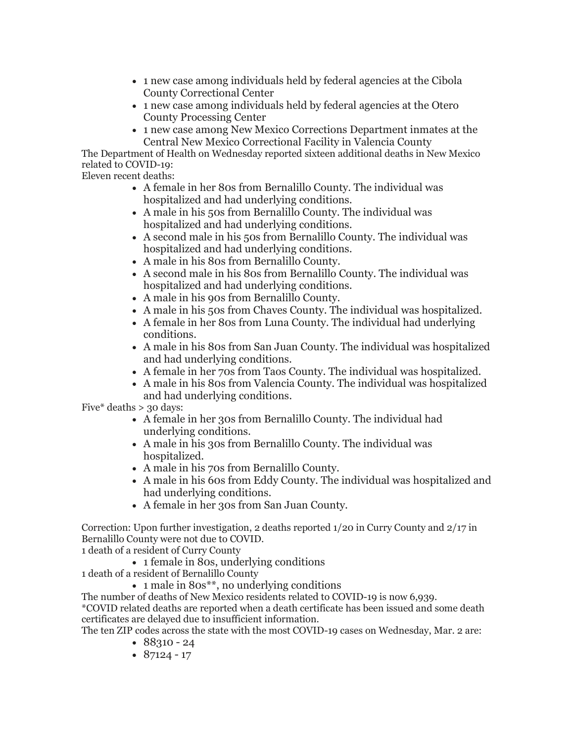- 1 new case among individuals held by federal agencies at the Cibola County Correctional Center
- 1 new case among individuals held by federal agencies at the Otero County Processing Center
- 1 new case among New Mexico Corrections Department inmates at the Central New Mexico Correctional Facility in Valencia County

The Department of Health on Wednesday reported sixteen additional deaths in New Mexico related to COVID-19:

Eleven recent deaths:

- A female in her 80s from Bernalillo County. The individual was hospitalized and had underlying conditions.
- A male in his 50s from Bernalillo County. The individual was hospitalized and had underlying conditions.
- A second male in his 50s from Bernalillo County. The individual was hospitalized and had underlying conditions.
- A male in his 80s from Bernalillo County.
- A second male in his 80s from Bernalillo County. The individual was hospitalized and had underlying conditions.
- A male in his 90s from Bernalillo County.
- A male in his 50s from Chaves County. The individual was hospitalized.
- A female in her 80s from Luna County. The individual had underlying conditions.
- A male in his 80s from San Juan County. The individual was hospitalized and had underlying conditions.
- A female in her 70s from Taos County. The individual was hospitalized.
- A male in his 80s from Valencia County. The individual was hospitalized and had underlying conditions.

Five\* deaths  $> 30$  days:

- A female in her 30s from Bernalillo County. The individual had underlying conditions.
- A male in his 30s from Bernalillo County. The individual was hospitalized.
- A male in his 70s from Bernalillo County.
- A male in his 60s from Eddy County. The individual was hospitalized and had underlying conditions.
- A female in her 30s from San Juan County.

Correction: Upon further investigation, 2 deaths reported 1/20 in Curry County and 2/17 in Bernalillo County were not due to COVID.

1 death of a resident of Curry County

• 1 female in 80s, underlying conditions

1 death of a resident of Bernalillo County

• 1 male in 80s<sup>\*\*</sup>, no underlying conditions

The number of deaths of New Mexico residents related to COVID-19 is now 6,939.

\*COVID related deaths are reported when a death certificate has been issued and some death certificates are delayed due to insufficient information.

The ten ZIP codes across the state with the most COVID-19 cases on Wednesday, Mar. 2 are:

- $88310 24$
- $87124 17$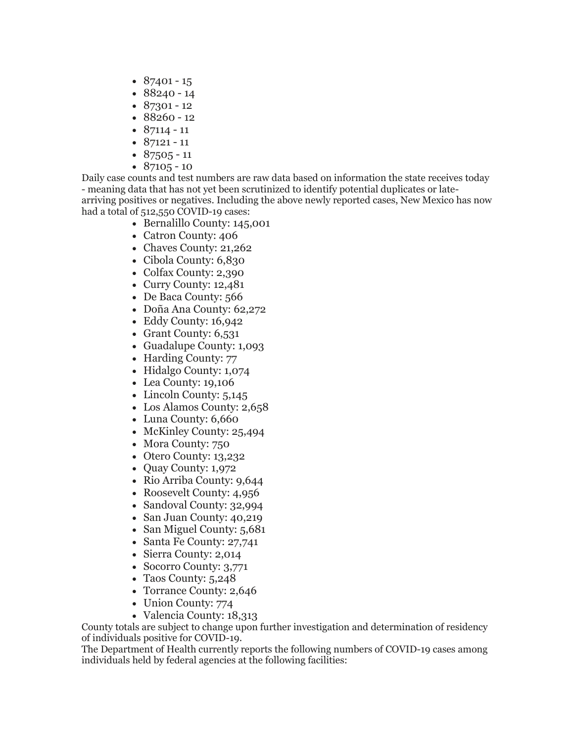- $87401 15$
- 88240 14
- $87301 12$
- 88260 12
- $87114 11$
- $87121 11$
- $87505 11$
- $87105 10$

Daily case counts and test numbers are raw data based on information the state receives today - meaning data that has not yet been scrutinized to identify potential duplicates or latearriving positives or negatives. Including the above newly reported cases, New Mexico has now had a total of 512,550 COVID-19 cases:

- Bernalillo County: 145,001
- Catron County: 406
- Chaves County: 21,262
- Cibola County: 6,830
- Colfax County: 2,390
- Curry County: 12,481
- De Baca County: 566
- Doña Ana County: 62,272
- Eddy County: 16,942
- Grant County: 6,531
- Guadalupe County: 1,093
- Harding County: 77
- Hidalgo County: 1,074
- Lea County: 19,106
- Lincoln County: 5,145
- Los Alamos County: 2,658
- Luna County: 6,660
- McKinley County: 25,494
- Mora County: 750
- Otero County: 13,232
- Quay County: 1,972
- Rio Arriba County: 9,644
- Roosevelt County: 4,956
- Sandoval County: 32,994
- San Juan County: 40,219
- San Miguel County: 5,681
- Santa Fe County: 27,741
- Sierra County: 2,014
- Socorro County: 3,771
- Taos County: 5,248
- Torrance County: 2,646
- Union County: 774
- Valencia County: 18,313

County totals are subject to change upon further investigation and determination of residency of individuals positive for COVID-19.

The Department of Health currently reports the following numbers of COVID-19 cases among individuals held by federal agencies at the following facilities: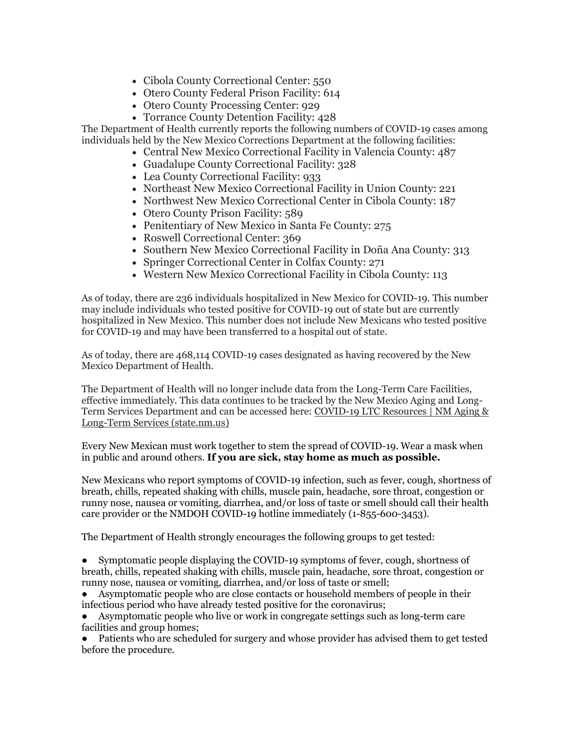- Cibola County Correctional Center: 550
- Otero County Federal Prison Facility: 614
- Otero County Processing Center: 929
- Torrance County Detention Facility: 428

The Department of Health currently reports the following numbers of COVID-19 cases among individuals held by the New Mexico Corrections Department at the following facilities:

- Central New Mexico Correctional Facility in Valencia County: 487
- Guadalupe County Correctional Facility: 328
- Lea County Correctional Facility: 933
- Northeast New Mexico Correctional Facility in Union County: 221
- Northwest New Mexico Correctional Center in Cibola County: 187
- Otero County Prison Facility: 589
- Penitentiary of New Mexico in Santa Fe County: 275
- Roswell Correctional Center: 369
- Southern New Mexico Correctional Facility in Doña Ana County: 313
- Springer Correctional Center in Colfax County: 271
- Western New Mexico Correctional Facility in Cibola County: 113

As of today, there are 236 individuals hospitalized in New Mexico for COVID-19. This number may include individuals who tested positive for COVID-19 out of state but are currently hospitalized in New Mexico. This number does not include New Mexicans who tested positive for COVID-19 and may have been transferred to a hospital out of state.

As of today, there are 468,114 COVID-19 cases designated as having recovered by the New Mexico Department of Health.

The Department of Health will no longer include data from the Long-Term Care Facilities, effective immediately. This data continues to be tracked by the New Mexico Aging and Long-Term Services Department and can be accessed here: [COVID-19 LTC Resources | NM Aging &](https://r20.rs6.net/tn.jsp?f=001cX_i8f-H2FD8ut1KO2tyY7CV6eg5zdtnQ2xW-HAYqR5iqNzF-WP1LtF43Dua4wm8Kar4EfUO_4Ki4Hed1IiDYwAnaIG0J3fpUMBQpthsV5TQFeMjokCjI3-wBBCLzPbmabf8_9GWmadSTmzfNv4wGQEqPKNM2xu-mfk_lAQESDJWFLCJTcB3mb5y8f49CL1kvfxx1agCyKr0-Inj5x8RP5gPL7NM8ldVA9RZpbPCvbPc5M9p5XuxbQ==&c=hXPR_-LfC6ToZ6Z2eCmwuVlVybnaHGYWPQm2DW6mI8trlvktJ-qFRQ==&ch=_pXy7Cy0OkmpEXp6VlEQprNHDM2-oYcgxGCfRlsK1Qe4K7IZJKBG6w==)  [Long-Term Services \(state.nm.us\)](https://r20.rs6.net/tn.jsp?f=001cX_i8f-H2FD8ut1KO2tyY7CV6eg5zdtnQ2xW-HAYqR5iqNzF-WP1LtF43Dua4wm8Kar4EfUO_4Ki4Hed1IiDYwAnaIG0J3fpUMBQpthsV5TQFeMjokCjI3-wBBCLzPbmabf8_9GWmadSTmzfNv4wGQEqPKNM2xu-mfk_lAQESDJWFLCJTcB3mb5y8f49CL1kvfxx1agCyKr0-Inj5x8RP5gPL7NM8ldVA9RZpbPCvbPc5M9p5XuxbQ==&c=hXPR_-LfC6ToZ6Z2eCmwuVlVybnaHGYWPQm2DW6mI8trlvktJ-qFRQ==&ch=_pXy7Cy0OkmpEXp6VlEQprNHDM2-oYcgxGCfRlsK1Qe4K7IZJKBG6w==)

Every New Mexican must work together to stem the spread of COVID-19. Wear a mask when in public and around others. **If you are sick, stay home as much as possible.**

New Mexicans who report symptoms of COVID-19 infection, such as fever, cough, shortness of breath, chills, repeated shaking with chills, muscle pain, headache, sore throat, congestion or runny nose, nausea or vomiting, diarrhea, and/or loss of taste or smell should call their health care provider or the NMDOH COVID-19 hotline immediately (1-855-600-3453).

The Department of Health strongly encourages the following groups to get tested:

● Symptomatic people displaying the COVID-19 symptoms of fever, cough, shortness of breath, chills, repeated shaking with chills, muscle pain, headache, sore throat, congestion or runny nose, nausea or vomiting, diarrhea, and/or loss of taste or smell;

Asymptomatic people who are close contacts or household members of people in their infectious period who have already tested positive for the coronavirus;

Asymptomatic people who live or work in congregate settings such as long-term care facilities and group homes;

Patients who are scheduled for surgery and whose provider has advised them to get tested before the procedure.